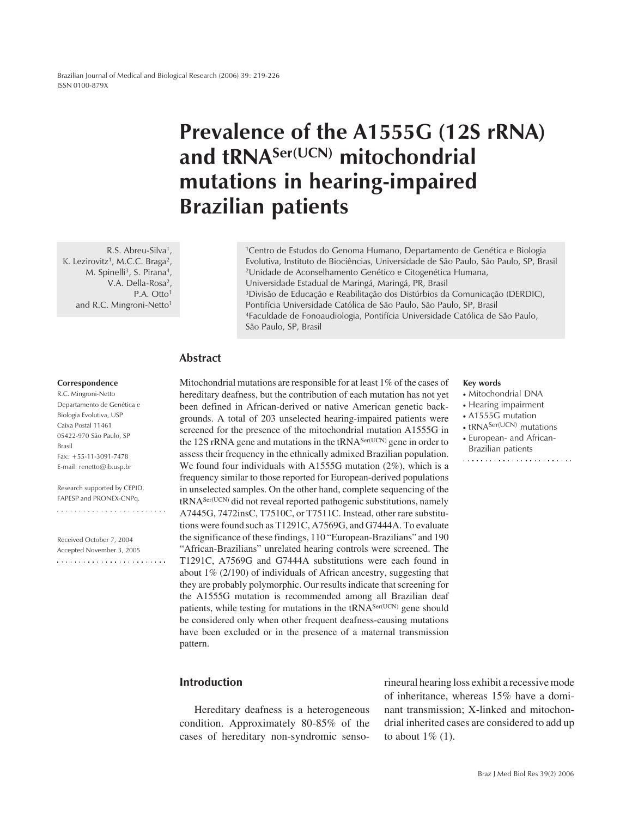Brazilian Journal of Medical and Biological Research (2006) 39: 219-226 ISSN 0100-879X

# **Prevalence of the A1555G (12S rRNA) and tRNASer(UCN) mitochondrial mutations in hearing-impaired Brazilian patients**

R.S. Abreu-Silva<sup>1</sup>, K. Lezirovitz<sup>1</sup>, M.C.C. Braga<sup>2</sup>, M. Spinelli<sup>3</sup>, S. Pirana<sup>4</sup>, V.A. Della-Rosa<sup>2</sup>, P.A. Otto<sup>1</sup> and R.C. Mingroni-Netto<sup>1</sup>

1Centro de Estudos do Genoma Humano, Departamento de Genética e Biologia Evolutiva, Instituto de Biociências, Universidade de São Paulo, São Paulo, SP, Brasil 2Unidade de Aconselhamento Genético e Citogenética Humana, Universidade Estadual de Maringá, Maringá, PR, Brasil 3Divisão de Educação e Reabilitação dos Distúrbios da Comunicação (DERDIC), Pontifícia Universidade Católica de São Paulo, São Paulo, SP, Brasil 4Faculdade de Fonoaudiologia, Pontifícia Universidade Católica de São Paulo, São Paulo, SP, Brasil

## **Abstract**

#### **Correspondence**

R.C. Mingroni-Netto Departamento de Genética e Biologia Evolutiva, USP Caixa Postal 11461 05422-970 São Paulo, SP Brasil Fax: +55-11-3091-7478 E-mail: renetto@ib.usp.br

Research supported by CEPID, FAPESP and PRONEX-CNPq.

Received October 7, 2004 Accepted November 3, 2005 

## Mitochondrial mutations are responsible for at least 1% of the cases of hereditary deafness, but the contribution of each mutation has not yet been defined in African-derived or native American genetic backgrounds. A total of 203 unselected hearing-impaired patients were screened for the presence of the mitochondrial mutation A1555G in the 12S rRNA gene and mutations in the tRNA<sup>Ser(UCN)</sup> gene in order to assess their frequency in the ethnically admixed Brazilian population. We found four individuals with A1555G mutation (2%), which is a frequency similar to those reported for European-derived populations in unselected samples. On the other hand, complete sequencing of the tRNASer(UCN) did not reveal reported pathogenic substitutions, namely A7445G, 7472insC, T7510C, or T7511C. Instead, other rare substitutions were found such as T1291C, A7569G, and G7444A. To evaluate the significance of these findings, 110 "European-Brazilians" and 190 "African-Brazilians" unrelated hearing controls were screened. The T1291C, A7569G and G7444A substitutions were each found in about 1% (2/190) of individuals of African ancestry, suggesting that they are probably polymorphic. Our results indicate that screening for the A1555G mutation is recommended among all Brazilian deaf patients, while testing for mutations in the tRNA<sup>Ser(UCN)</sup> gene should be considered only when other frequent deafness-causing mutations have been excluded or in the presence of a maternal transmission pattern.

## **Introduction**

Hereditary deafness is a heterogeneous condition. Approximately 80-85% of the cases of hereditary non-syndromic sensorineural hearing loss exhibit a recessive mode of inheritance, whereas 15% have a dominant transmission; X-linked and mitochondrial inherited cases are considered to add up to about  $1\%$  (1).

#### **Key words**

- Mitochondrial DNA
- Hearing impairment
- A1555G mutation
- tRNA<sup>Ser(UCN)</sup> mutations
- European- and African-Brazilian patients
-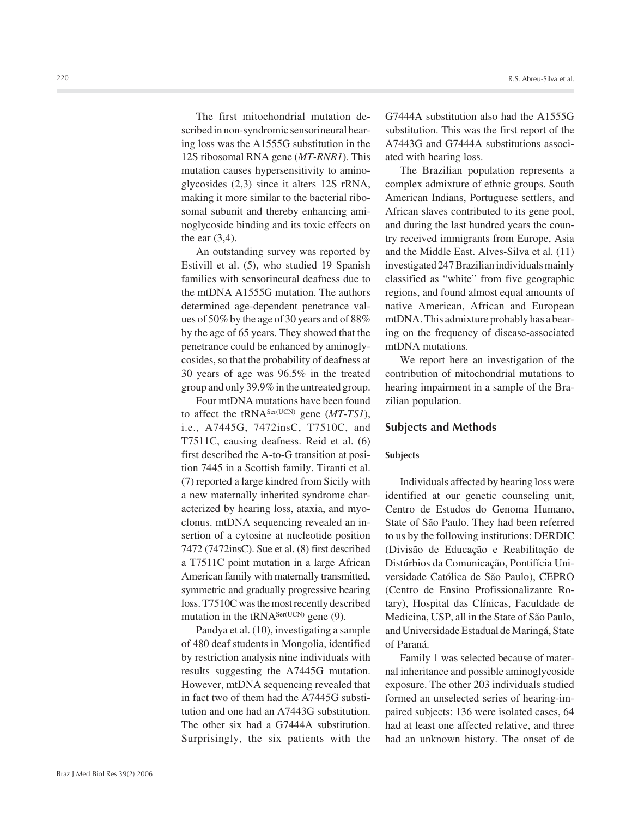The first mitochondrial mutation described in non-syndromic sensorineural hearing loss was the A1555G substitution in the 12S ribosomal RNA gene (*MT-RNR1*). This mutation causes hypersensitivity to aminoglycosides (2,3) since it alters 12S rRNA, making it more similar to the bacterial ribosomal subunit and thereby enhancing aminoglycoside binding and its toxic effects on the ear (3,4).

An outstanding survey was reported by Estivill et al. (5), who studied 19 Spanish families with sensorineural deafness due to the mtDNA A1555G mutation. The authors determined age-dependent penetrance values of 50% by the age of 30 years and of 88% by the age of 65 years. They showed that the penetrance could be enhanced by aminoglycosides, so that the probability of deafness at 30 years of age was 96.5% in the treated group and only 39.9% in the untreated group.

Four mtDNA mutations have been found to affect the tRNASer(UCN) gene (*MT-TS1*), i.e., A7445G, 7472insC, T7510C, and T7511C, causing deafness. Reid et al. (6) first described the A-to-G transition at position 7445 in a Scottish family. Tiranti et al. (7) reported a large kindred from Sicily with a new maternally inherited syndrome characterized by hearing loss, ataxia, and myoclonus. mtDNA sequencing revealed an insertion of a cytosine at nucleotide position 7472 (7472insC). Sue et al. (8) first described a T7511C point mutation in a large African American family with maternally transmitted, symmetric and gradually progressive hearing loss. T7510C was the most recently described mutation in the  $tRNA<sup>Ser(UCN)</sup>$  gene (9).

Pandya et al. (10), investigating a sample of 480 deaf students in Mongolia, identified by restriction analysis nine individuals with results suggesting the A7445G mutation. However, mtDNA sequencing revealed that in fact two of them had the A7445G substitution and one had an A7443G substitution. The other six had a G7444A substitution. Surprisingly, the six patients with the

G7444A substitution also had the A1555G substitution. This was the first report of the A7443G and G7444A substitutions associated with hearing loss.

The Brazilian population represents a complex admixture of ethnic groups. South American Indians, Portuguese settlers, and African slaves contributed to its gene pool, and during the last hundred years the country received immigrants from Europe, Asia and the Middle East. Alves-Silva et al. (11) investigated 247 Brazilian individuals mainly classified as "white" from five geographic regions, and found almost equal amounts of native American, African and European mtDNA. This admixture probably has a bearing on the frequency of disease-associated mtDNA mutations.

We report here an investigation of the contribution of mitochondrial mutations to hearing impairment in a sample of the Brazilian population.

### **Subjects and Methods**

#### **Subjects**

Individuals affected by hearing loss were identified at our genetic counseling unit, Centro de Estudos do Genoma Humano, State of São Paulo. They had been referred to us by the following institutions: DERDIC (Divisão de Educação e Reabilitação de Distúrbios da Comunicação, Pontifícia Universidade Católica de São Paulo), CEPRO (Centro de Ensino Profissionalizante Rotary), Hospital das Clínicas, Faculdade de Medicina, USP, all in the State of São Paulo, and Universidade Estadual de Maringá, State of Paraná.

Family 1 was selected because of maternal inheritance and possible aminoglycoside exposure. The other 203 individuals studied formed an unselected series of hearing-impaired subjects: 136 were isolated cases, 64 had at least one affected relative, and three had an unknown history. The onset of de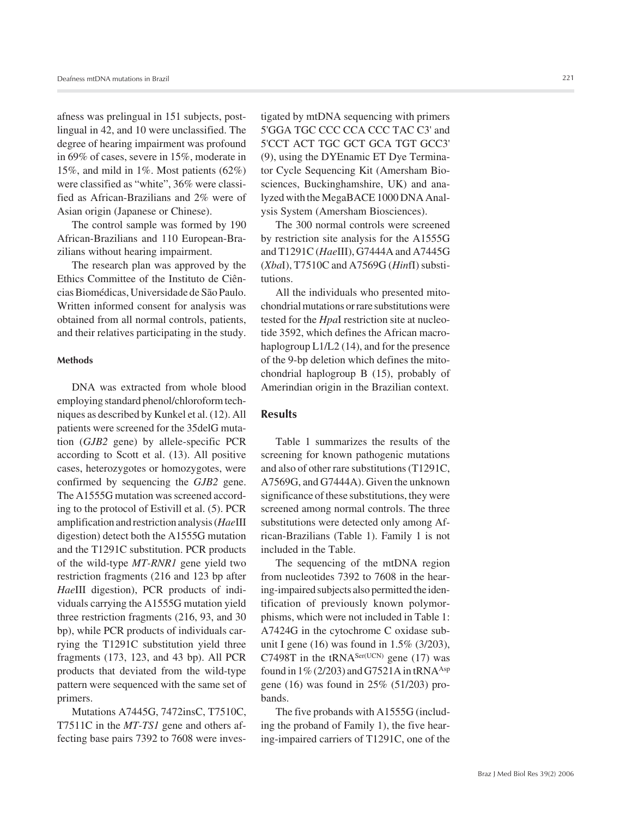afness was prelingual in 151 subjects, postlingual in 42, and 10 were unclassified. The degree of hearing impairment was profound in 69% of cases, severe in 15%, moderate in 15%, and mild in 1%. Most patients (62%) were classified as "white", 36% were classified as African-Brazilians and 2% were of Asian origin (Japanese or Chinese).

The control sample was formed by 190 African-Brazilians and 110 European-Brazilians without hearing impairment.

The research plan was approved by the Ethics Committee of the Instituto de Ciências Biomédicas, Universidade de São Paulo. Written informed consent for analysis was obtained from all normal controls, patients, and their relatives participating in the study.

#### **Methods**

DNA was extracted from whole blood employing standard phenol/chloroform techniques as described by Kunkel et al. (12). All patients were screened for the 35delG mutation (*GJB2* gene) by allele-specific PCR according to Scott et al. (13). All positive cases, heterozygotes or homozygotes, were confirmed by sequencing the *GJB2* gene. The A1555G mutation was screened according to the protocol of Estivill et al. (5). PCR amplification and restriction analysis (*Hae*III digestion) detect both the A1555G mutation and the T1291C substitution. PCR products of the wild-type *MT-RNR1* gene yield two restriction fragments (216 and 123 bp after *Hae*III digestion), PCR products of individuals carrying the A1555G mutation yield three restriction fragments (216, 93, and 30 bp), while PCR products of individuals carrying the T1291C substitution yield three fragments (173, 123, and 43 bp). All PCR products that deviated from the wild-type pattern were sequenced with the same set of primers.

Mutations A7445G, 7472insC, T7510C, T7511C in the *MT-TS1* gene and others affecting base pairs 7392 to 7608 were investigated by mtDNA sequencing with primers 5'GGA TGC CCC CCA CCC TAC C3' and 5'CCT ACT TGC GCT GCA TGT GCC3' (9), using the DYEnamic ET Dye Terminator Cycle Sequencing Kit (Amersham Biosciences, Buckinghamshire, UK) and analyzed with the MegaBACE 1000 DNA Analysis System (Amersham Biosciences).

The 300 normal controls were screened by restriction site analysis for the A1555G and T1291C (*Hae*III), G7444A and A7445G (*Xba*I), T7510C and A7569G (*Hin*fI) substitutions.

All the individuals who presented mitochondrial mutations or rare substitutions were tested for the *Hpa*I restriction site at nucleotide 3592, which defines the African macrohaplogroup L1/L2 (14), and for the presence of the 9-bp deletion which defines the mitochondrial haplogroup B (15), probably of Amerindian origin in the Brazilian context.

## **Results**

Table 1 summarizes the results of the screening for known pathogenic mutations and also of other rare substitutions (T1291C, A7569G, and G7444A). Given the unknown significance of these substitutions, they were screened among normal controls. The three substitutions were detected only among African-Brazilians (Table 1). Family 1 is not included in the Table.

The sequencing of the mtDNA region from nucleotides 7392 to 7608 in the hearing-impaired subjects also permitted the identification of previously known polymorphisms, which were not included in Table 1: A7424G in the cytochrome C oxidase subunit I gene (16) was found in  $1.5\%$  (3/203), C7498T in the  $tRNA<sup>Ser(UCN)</sup>$  gene (17) was found in  $1\%$  (2/203) and G7521A in tRNA<sup>Asp</sup> gene (16) was found in 25% (51/203) probands.

The five probands with A1555G (including the proband of Family 1), the five hearing-impaired carriers of T1291C, one of the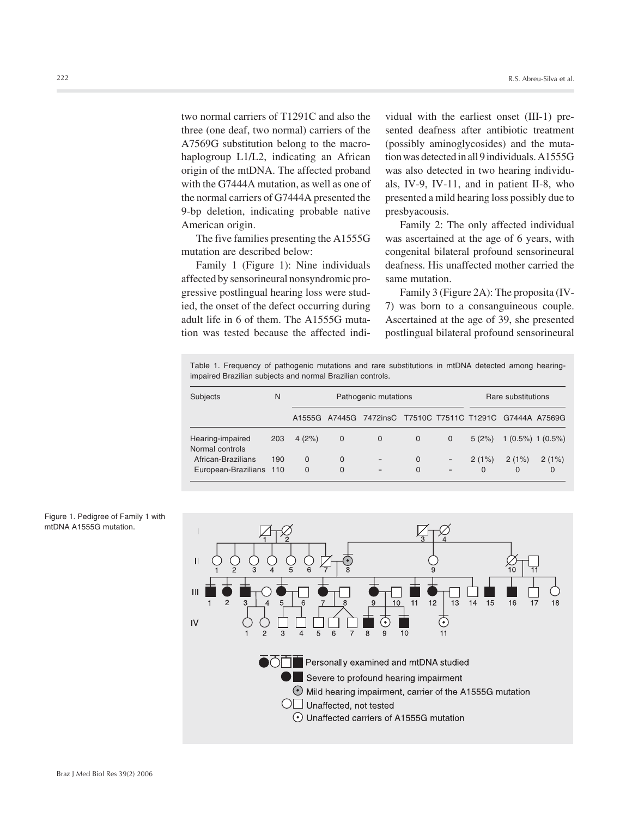two normal carriers of T1291C and also the three (one deaf, two normal) carriers of the A7569G substitution belong to the macrohaplogroup L1/L2, indicating an African origin of the mtDNA. The affected proband with the G7444A mutation, as well as one of the normal carriers of G7444A presented the 9-bp deletion, indicating probable native American origin.

The five families presenting the A1555G mutation are described below:

Family 1 (Figure 1): Nine individuals affected by sensorineural nonsyndromic progressive postlingual hearing loss were studied, the onset of the defect occurring during adult life in 6 of them. The A1555G mutation was tested because the affected individual with the earliest onset (III-1) presented deafness after antibiotic treatment (possibly aminoglycosides) and the mutation was detected in all 9 individuals. A1555G was also detected in two hearing individuals, IV-9, IV-11, and in patient II-8, who presented a mild hearing loss possibly due to presbyacousis.

Family 2: The only affected individual was ascertained at the age of 6 years, with congenital bilateral profound sensorineural deafness. His unaffected mother carried the same mutation.

Family 3 (Figure 2A): The proposita (IV-7) was born to a consanguineous couple. Ascertained at the age of 39, she presented postlingual bilateral profound sensorineural

Table 1. Frequency of pathogenic mutations and rare substitutions in mtDNA detected among hearingimpaired Brazilian subjects and normal Brazilian controls.

| Subjects                                      | N   | Pathogenic mutations |             |                                                           |                      |                                                      | Rare substitutions |                        |                   |
|-----------------------------------------------|-----|----------------------|-------------|-----------------------------------------------------------|----------------------|------------------------------------------------------|--------------------|------------------------|-------------------|
|                                               |     |                      |             | A1555G A7445G 7472insC T7510C T7511C T1291C G7444A A7569G |                      |                                                      |                    |                        |                   |
| Hearing-impaired<br>Normal controls           | 203 | 4(2%)                | $\mathbf 0$ | $\mathbf{0}$                                              | $\mathbf{0}$         | $\mathbf{0}$                                         | 5(2%)              | $1(0.5\%)$ 1 $(0.5\%)$ |                   |
| African-Brazilians<br>European-Brazilians 110 | 190 | $\Omega$<br>$\Omega$ | 0<br>0      |                                                           | $\Omega$<br>$\Omega$ | $\overline{\phantom{a}}$<br>$\overline{\phantom{a}}$ | 2(1%)<br>$\Omega$  | 2(1%)<br>$\Omega$      | 2(1%)<br>$\Omega$ |



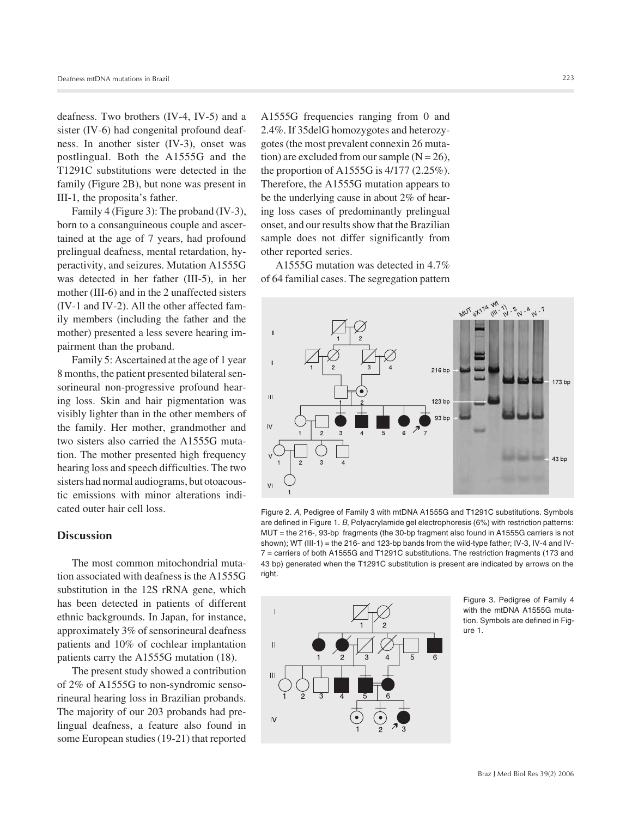deafness. Two brothers (IV-4, IV-5) and a sister (IV-6) had congenital profound deafness. In another sister (IV-3), onset was postlingual. Both the A1555G and the T1291C substitutions were detected in the family (Figure 2B), but none was present in III-1, the proposita's father.

Family 4 (Figure 3): The proband (IV-3), born to a consanguineous couple and ascertained at the age of 7 years, had profound prelingual deafness, mental retardation, hyperactivity, and seizures. Mutation A1555G was detected in her father (III-5), in her mother (III-6) and in the 2 unaffected sisters (IV-1 and IV-2). All the other affected family members (including the father and the mother) presented a less severe hearing impairment than the proband.

Family 5: Ascertained at the age of 1 year 8 months, the patient presented bilateral sensorineural non-progressive profound hearing loss. Skin and hair pigmentation was visibly lighter than in the other members of the family. Her mother, grandmother and two sisters also carried the A1555G mutation. The mother presented high frequency hearing loss and speech difficulties. The two sisters had normal audiograms, but otoacoustic emissions with minor alterations indicated outer hair cell loss.

## **Discussion**

The most common mitochondrial mutation associated with deafness is the A1555G substitution in the 12S rRNA gene, which has been detected in patients of different ethnic backgrounds. In Japan, for instance, approximately 3% of sensorineural deafness patients and 10% of cochlear implantation patients carry the A1555G mutation (18).

The present study showed a contribution of 2% of A1555G to non-syndromic sensorineural hearing loss in Brazilian probands. The majority of our 203 probands had prelingual deafness, a feature also found in some European studies (19-21) that reported

A1555G frequencies ranging from 0 and 2.4%. If 35delG homozygotes and heterozygotes (the most prevalent connexin 26 mutation) are excluded from our sample  $(N = 26)$ , the proportion of A1555G is 4/177 (2.25%). Therefore, the A1555G mutation appears to be the underlying cause in about 2% of hearing loss cases of predominantly prelingual onset, and our results show that the Brazilian sample does not differ significantly from other reported series.

A1555G mutation was detected in 4.7% of 64 familial cases. The segregation pattern



Figure 2. *A*, Pedigree of Family 3 with mtDNA A1555G and T1291C substitutions. Symbols are defined in Figure 1. *B*, Polyacrylamide gel electrophoresis (6%) with restriction patterns: MUT = the 216-, 93-bp fragments (the 30-bp fragment also found in A1555G carriers is not shown); WT (III-1) = the 216- and 123-bp bands from the wild-type father; IV-3, IV-4 and IV-7 = carriers of both A1555G and T1291C substitutions. The restriction fragments (173 and 43 bp) generated when the T1291C substitution is present are indicated by arrows on the right.



Figure 3. Pedigree of Family 4 with the mtDNA A1555G mutation. Symbols are defined in Figure 1.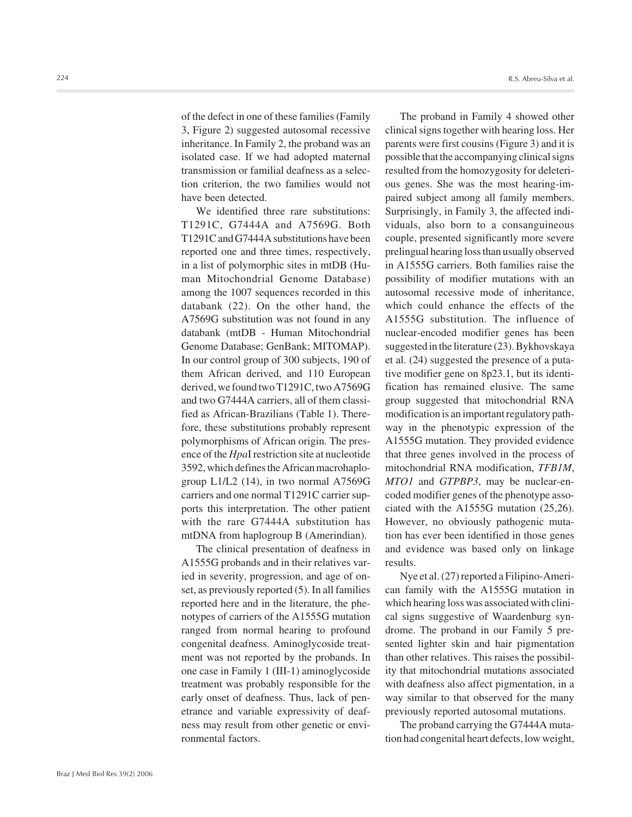of the defect in one of these families (Family 3, Figure 2) suggested autosomal recessive inheritance. In Family 2, the proband was an isolated case. If we had adopted maternal transmission or familial deafness as a selection criterion, the two families would not have been detected.

We identified three rare substitutions: T1291C, G7444A and A7569G. Both T1291C and G7444A substitutions have been reported one and three times, respectively, in a list of polymorphic sites in mtDB (Human Mitochondrial Genome Database) among the 1007 sequences recorded in this databank (22). On the other hand, the A7569G substitution was not found in any databank (mtDB - Human Mitochondrial Genome Database; GenBank; MITOMAP). In our control group of 300 subjects, 190 of them African derived, and 110 European derived, we found two T1291C, two A7569G and two G7444A carriers, all of them classified as African-Brazilians (Table 1). Therefore, these substitutions probably represent polymorphisms of African origin. The presence of the *Hpa*I restriction site at nucleotide 3592, which defines the African macrohaplogroup L1/L2 (14), in two normal A7569G carriers and one normal T1291C carrier supports this interpretation. The other patient with the rare G7444A substitution has mtDNA from haplogroup B (Amerindian).

The clinical presentation of deafness in A1555G probands and in their relatives varied in severity, progression, and age of onset, as previously reported (5). In all families reported here and in the literature, the phenotypes of carriers of the A1555G mutation ranged from normal hearing to profound congenital deafness. Aminoglycoside treatment was not reported by the probands. In one case in Family 1 (III-1) aminoglycoside treatment was probably responsible for the early onset of deafness. Thus, lack of penetrance and variable expressivity of deafness may result from other genetic or environmental factors.

The proband in Family 4 showed other clinical signs together with hearing loss. Her parents were first cousins (Figure 3) and it is possible that the accompanying clinical signs resulted from the homozygosity for deleterious genes. She was the most hearing-impaired subject among all family members. Surprisingly, in Family 3, the affected individuals, also born to a consanguineous couple, presented significantly more severe prelingual hearing loss than usually observed in A1555G carriers. Both families raise the possibility of modifier mutations with an autosomal recessive mode of inheritance, which could enhance the effects of the A1555G substitution. The influence of nuclear-encoded modifier genes has been suggested in the literature (23). Bykhovskaya et al. (24) suggested the presence of a putative modifier gene on 8p23.1, but its identification has remained elusive. The same group suggested that mitochondrial RNA modification is an important regulatory pathway in the phenotypic expression of the A1555G mutation. They provided evidence that three genes involved in the process of mitochondrial RNA modification, *TFB1M*, *MTO1* and *GTPBP3*, may be nuclear-encoded modifier genes of the phenotype associated with the A1555G mutation (25,26). However, no obviously pathogenic mutation has ever been identified in those genes and evidence was based only on linkage results.

Nye et al. (27) reported a Filipino-American family with the A1555G mutation in which hearing loss was associated with clinical signs suggestive of Waardenburg syndrome. The proband in our Family 5 presented lighter skin and hair pigmentation than other relatives. This raises the possibility that mitochondrial mutations associated with deafness also affect pigmentation, in a way similar to that observed for the many previously reported autosomal mutations.

The proband carrying the G7444A mutation had congenital heart defects, low weight,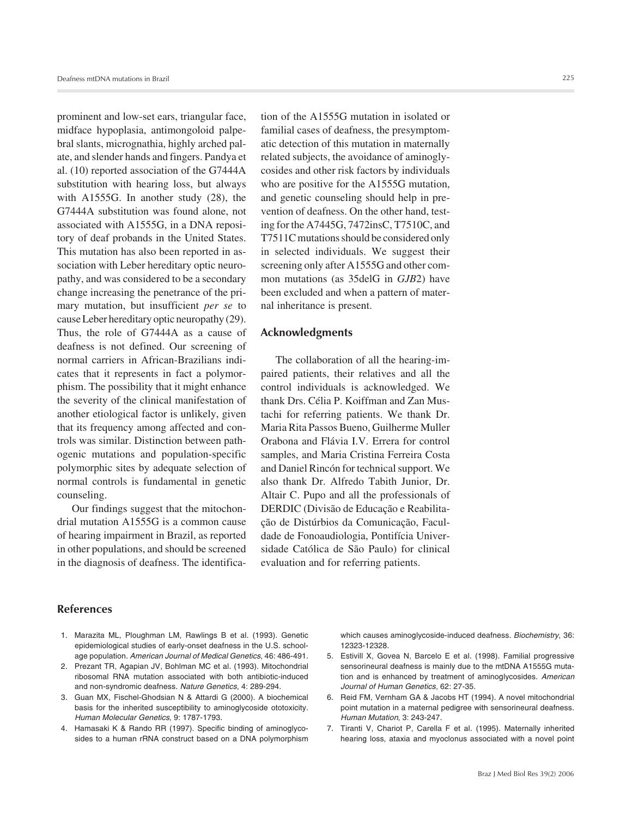prominent and low-set ears, triangular face, midface hypoplasia, antimongoloid palpebral slants, micrognathia, highly arched palate, and slender hands and fingers. Pandya et al. (10) reported association of the G7444A substitution with hearing loss, but always with A1555G. In another study (28), the G7444A substitution was found alone, not associated with A1555G, in a DNA repository of deaf probands in the United States. This mutation has also been reported in association with Leber hereditary optic neuropathy, and was considered to be a secondary change increasing the penetrance of the primary mutation, but insufficient *per se* to cause Leber hereditary optic neuropathy (29). Thus, the role of G7444A as a cause of deafness is not defined. Our screening of normal carriers in African-Brazilians indicates that it represents in fact a polymorphism. The possibility that it might enhance the severity of the clinical manifestation of another etiological factor is unlikely, given that its frequency among affected and controls was similar. Distinction between pathogenic mutations and population-specific polymorphic sites by adequate selection of normal controls is fundamental in genetic counseling.

Our findings suggest that the mitochondrial mutation A1555G is a common cause of hearing impairment in Brazil, as reported in other populations, and should be screened in the diagnosis of deafness. The identification of the A1555G mutation in isolated or familial cases of deafness, the presymptomatic detection of this mutation in maternally related subjects, the avoidance of aminoglycosides and other risk factors by individuals who are positive for the A1555G mutation, and genetic counseling should help in prevention of deafness. On the other hand, testing for the A7445G, 7472insC, T7510C, and T7511C mutations should be considered only in selected individuals. We suggest their screening only after A1555G and other common mutations (as 35delG in *GJB*2) have been excluded and when a pattern of maternal inheritance is present.

## **Acknowledgments**

The collaboration of all the hearing-impaired patients, their relatives and all the control individuals is acknowledged. We thank Drs. Célia P. Koiffman and Zan Mustachi for referring patients. We thank Dr. Maria Rita Passos Bueno, Guilherme Muller Orabona and Flávia I.V. Errera for control samples, and Maria Cristina Ferreira Costa and Daniel Rincón for technical support. We also thank Dr. Alfredo Tabith Junior, Dr. Altair C. Pupo and all the professionals of DERDIC (Divisão de Educação e Reabilitação de Distúrbios da Comunicação, Faculdade de Fonoaudiologia, Pontifícia Universidade Católica de São Paulo) for clinical evaluation and for referring patients.

### **References**

- 1. Marazita ML, Ploughman LM, Rawlings B et al. (1993). Genetic epidemiological studies of early-onset deafness in the U.S. schoolage population. *American Journal of Medical Genetics*, 46: 486-491.
- 2. Prezant TR, Agapian JV, Bohlman MC et al. (1993). Mitochondrial ribosomal RNA mutation associated with both antibiotic-induced and non-syndromic deafness. *Nature Genetics*, 4: 289-294.
- 3. Guan MX, Fischel-Ghodsian N & Attardi G (2000). A biochemical basis for the inherited susceptibility to aminoglycoside ototoxicity. *Human Molecular Genetics*, 9: 1787-1793.
- 4. Hamasaki K & Rando RR (1997). Specific binding of aminoglycosides to a human rRNA construct based on a DNA polymorphism

which causes aminoglycoside-induced deafness. *Biochemistry*, 36: 12323-12328.

- 5. Estivill X, Govea N, Barcelo E et al. (1998). Familial progressive sensorineural deafness is mainly due to the mtDNA A1555G mutation and is enhanced by treatment of aminoglycosides. *American Journal of Human Genetics*, 62: 27-35.
- 6. Reid FM, Vernham GA & Jacobs HT (1994). A novel mitochondrial point mutation in a maternal pedigree with sensorineural deafness. *Human Mutation*, 3: 243-247.
- 7. Tiranti V, Chariot P, Carella F et al. (1995). Maternally inherited hearing loss, ataxia and myoclonus associated with a novel point